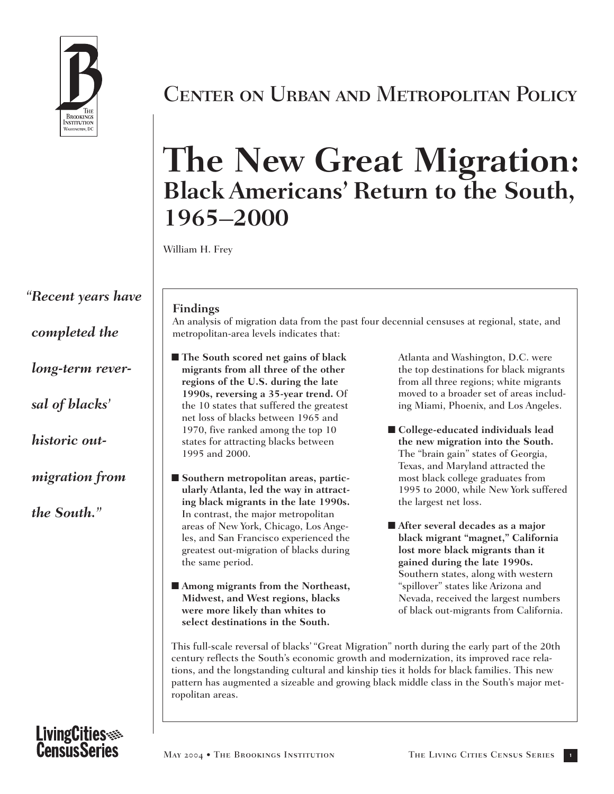

*"Recent years have completed the long-term reversal of blacks' historic outmigration from the South."*

# Center on Urban and Metropolitan Policy

# **The New Great Migration: Black Americans' Return to the South, 1965–2000**

William H. Frey

### **Findings**

An analysis of migration data from the past four decennial censuses at regional, state, and metropolitan-area levels indicates that:

- **The South scored net gains of black migrants from all three of the other regions of the U.S. during the late 1990s, reversing a 35-year trend.** Of the 10 states that suffered the greatest net loss of blacks between 1965 and 1970, five ranked among the top 10 states for attracting blacks between 1995 and 2000.
- Southern metropolitan areas, partic**ularly Atlanta, led the way in attracting black migrants in the late 1990s.** In contrast, the major metropolitan areas of New York, Chicago, Los Angeles, and San Francisco experienced the greatest out-migration of blacks during the same period.
- **Among migrants from the Northeast, Midwest, and West regions, blacks were more likely than whites to select destinations in the South.**

Atlanta and Washington, D.C. were the top destinations for black migrants from all three regions; white migrants moved to a broader set of areas including Miami, Phoenix, and Los Angeles.

- **College-educated individuals lead the new migration into the South.** The "brain gain" states of Georgia, Texas, and Maryland attracted the most black college graduates from 1995 to 2000, while New York suffered the largest net loss.
- After several decades as a major **black migrant "magnet," California lost more black migrants than it gained during the late 1990s.** Southern states, along with western "spillover" states like Arizona and Nevada, received the largest numbers of black out-migrants from California.

This full-scale reversal of blacks' "Great Migration" north during the early part of the 20th century reflects the South's economic growth and modernization, its improved race relations, and the longstanding cultural and kinship ties it holds for black families. This new pattern has augmented a sizeable and growing black middle class in the South's major metropolitan areas.

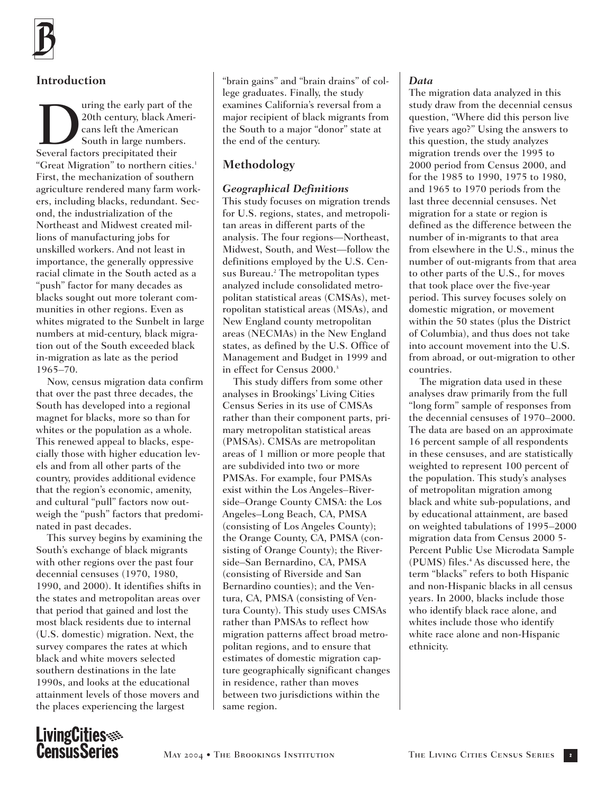## **Introduction**

Using the early part of the<br>
20th century, black American<br>
Several factors precipitated their 20th century, black Americans left the American South in large numbers. "Great Migration" to northern cities.<sup>1</sup> First, the mechanization of southern agriculture rendered many farm workers, including blacks, redundant. Second, the industrialization of the Northeast and Midwest created millions of manufacturing jobs for unskilled workers. And not least in importance, the generally oppressive racial climate in the South acted as a "push" factor for many decades as blacks sought out more tolerant communities in other regions. Even as whites migrated to the Sunbelt in large numbers at mid-century, black migration out of the South exceeded black in-migration as late as the period 1965–70.

Now, census migration data confirm that over the past three decades, the South has developed into a regional magnet for blacks, more so than for whites or the population as a whole. This renewed appeal to blacks, especially those with higher education levels and from all other parts of the country, provides additional evidence that the region's economic, amenity, and cultural "pull" factors now outweigh the "push" factors that predominated in past decades.

This survey begins by examining the South's exchange of black migrants with other regions over the past four decennial censuses (1970, 1980, 1990, and 2000). It identifies shifts in the states and metropolitan areas over that period that gained and lost the most black residents due to internal (U.S. domestic) migration. Next, the survey compares the rates at which black and white movers selected southern destinations in the late 1990s, and looks at the educational attainment levels of those movers and the places experiencing the largest

"brain gains" and "brain drains" of college graduates. Finally, the study examines California's reversal from a major recipient of black migrants from the South to a major "donor" state at the end of the century.

### **Methodology**

### *Geographical Definitions*

This study focuses on migration trends for U.S. regions, states, and metropolitan areas in different parts of the analysis. The four regions—Northeast, Midwest, South, and West—follow the definitions employed by the U.S. Census Bureau.<sup>2</sup> The metropolitan types analyzed include consolidated metropolitan statistical areas (CMSAs), metropolitan statistical areas (MSAs), and New England county metropolitan areas (NECMAs) in the New England states, as defined by the U.S. Office of Management and Budget in 1999 and in effect for Census 2000.<sup>3</sup>

This study differs from some other analyses in Brookings' Living Cities Census Series in its use of CMSAs rather than their component parts, primary metropolitan statistical areas (PMSAs). CMSAs are metropolitan areas of 1 million or more people that are subdivided into two or more PMSAs. For example, four PMSAs exist within the Los Angeles–Riverside–Orange County CMSA: the Los Angeles–Long Beach, CA, PMSA (consisting of Los Angeles County); the Orange County, CA, PMSA (consisting of Orange County); the Riverside–San Bernardino, CA, PMSA (consisting of Riverside and San Bernardino counties); and the Ventura, CA, PMSA (consisting of Ventura County). This study uses CMSAs rather than PMSAs to reflect how migration patterns affect broad metropolitan regions, and to ensure that estimates of domestic migration capture geographically significant changes in residence, rather than moves between two jurisdictions within the same region.

### *Data*

The migration data analyzed in this study draw from the decennial census question, "Where did this person live five years ago?" Using the answers to this question, the study analyzes migration trends over the 1995 to 2000 period from Census 2000, and for the 1985 to 1990, 1975 to 1980, and 1965 to 1970 periods from the last three decennial censuses. Net migration for a state or region is defined as the difference between the number of in-migrants to that area from elsewhere in the U.S., minus the number of out-migrants from that area to other parts of the U.S., for moves that took place over the five-year period. This survey focuses solely on domestic migration, or movement within the 50 states (plus the District of Columbia), and thus does not take into account movement into the U.S. from abroad, or out-migration to other countries.

The migration data used in these analyses draw primarily from the full "long form" sample of responses from the decennial censuses of 1970–2000. The data are based on an approximate 16 percent sample of all respondents in these censuses, and are statistically weighted to represent 100 percent of the population. This study's analyses of metropolitan migration among black and white sub-populations, and by educational attainment, are based on weighted tabulations of 1995–2000 migration data from Census 2000 5- Percent Public Use Microdata Sample (PUMS) files.<sup>4</sup> As discussed here, the term "blacks" refers to both Hispanic and non-Hispanic blacks in all census years. In 2000, blacks include those who identify black race alone, and whites include those who identify white race alone and non-Hispanic ethnicity.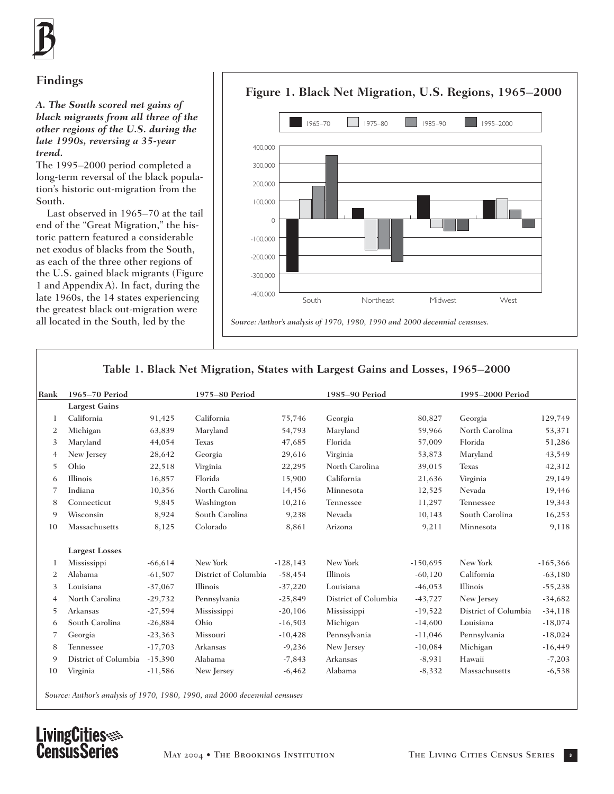## **Findings**

#### *A. The South scored net gains of black migrants from all three of the other regions of the U.S. during the late 1990s, reversing a 35-year trend.*

The 1995–2000 period completed a long-term reversal of the black population's historic out-migration from the South.

Last observed in 1965–70 at the tail end of the "Great Migration," the historic pattern featured a considerable net exodus of blacks from the South, as each of the three other regions of the U.S. gained black migrants (Figure 1 and Appendix A). In fact, during the late 1960s, the 14 states experiencing the greatest black out-migration were all located in the South, led by the



### **Table 1. Black Net Migration, States with Largest Gains and Losses, 1965–2000**

| Rank | 1965-70 Period        |           | 1975-80 Period       |             | 1985-90 Period       |            | 1995-2000 Period     |            |
|------|-----------------------|-----------|----------------------|-------------|----------------------|------------|----------------------|------------|
|      | <b>Largest Gains</b>  |           |                      |             |                      |            |                      |            |
| 1    | California            | 91,425    | California           | 75,746      | Georgia              | 80,827     | Georgia              | 129,749    |
| 2    | Michigan              | 63,839    | Maryland             | 54,793      | Maryland             | 59,966     | North Carolina       | 53,371     |
| 3    | Maryland              | 44,054    | <b>Texas</b>         | 47,685      | Florida              | 57,009     | Florida              | 51,286     |
| 4    | New Jersey            | 28,642    | Georgia              | 29,616      | Virginia             | 53,873     | Maryland             | 43,549     |
| 5    | Ohio                  | 22,518    | Virginia             | 22,295      | North Carolina       | 39,015     | <b>Texas</b>         | 42,312     |
| 6    | Illinois              | 16,857    | Florida              | 15,900      | California           | 21,636     | Virginia             | 29,149     |
| 7    | Indiana               | 10,356    | North Carolina       | 14,456      | Minnesota            | 12,525     | Nevada               | 19,446     |
| 8    | Connecticut           | 9,845     | Washington           | 10,216      | Tennessee            | 11,297     | Tennessee            | 19,343     |
| 9    | Wisconsin             | 8,924     | South Carolina       | 9,238       | Nevada               | 10,143     | South Carolina       | 16,253     |
| 10   | Massachusetts         | 8,125     | Colorado             | 8,861       | Arizona              | 9,211      | Minnesota            | 9,118      |
|      | <b>Largest Losses</b> |           |                      |             |                      |            |                      |            |
| 1    | Mississippi           | $-66,614$ | New York             | $-128, 143$ | New York             | $-150,695$ | New York             | $-165,366$ |
| 2    | Alabama               | $-61,507$ | District of Columbia | $-58,454$   | Illinois             | $-60,120$  | California           | $-63,180$  |
| 3    | Louisiana             | $-37,067$ | Illinois             | $-37,220$   | Louisiana            | $-46,053$  | Illinois             | $-55,238$  |
| 4    | North Carolina        | $-29,732$ | Pennsylvania         | $-25,849$   | District of Columbia | $-43,727$  | New Jersey           | $-34,682$  |
| 5    | Arkansas              | $-27,594$ | Mississippi          | $-20,106$   | Mississippi          | $-19,522$  | District of Columbia | $-34, 118$ |
| 6    | South Carolina        | $-26,884$ | Ohio                 | $-16,503$   | Michigan             | $-14,600$  | Louisiana            | $-18,074$  |
| 7    | Georgia               | $-23,363$ | Missouri             | $-10,428$   | Pennsylvania         | $-11,046$  | Pennsylvania         | $-18,024$  |
| 8    | Tennessee             | $-17,703$ | Arkansas             | $-9,236$    | New Jersey           | $-10,084$  | Michigan             | $-16,449$  |
| 9    | District of Columbia  | $-15,390$ | Alabama              | $-7,843$    | Arkansas             | $-8,931$   | Hawaii               | $-7,203$   |
| 10   | Virginia              | $-11,586$ | New Jersey           | $-6,462$    | Alabama              | $-8,332$   | Massachusetts        | $-6,538$   |

*Source: Author's analysis of 1970, 1980, 1990, and 2000 decennial censuses*

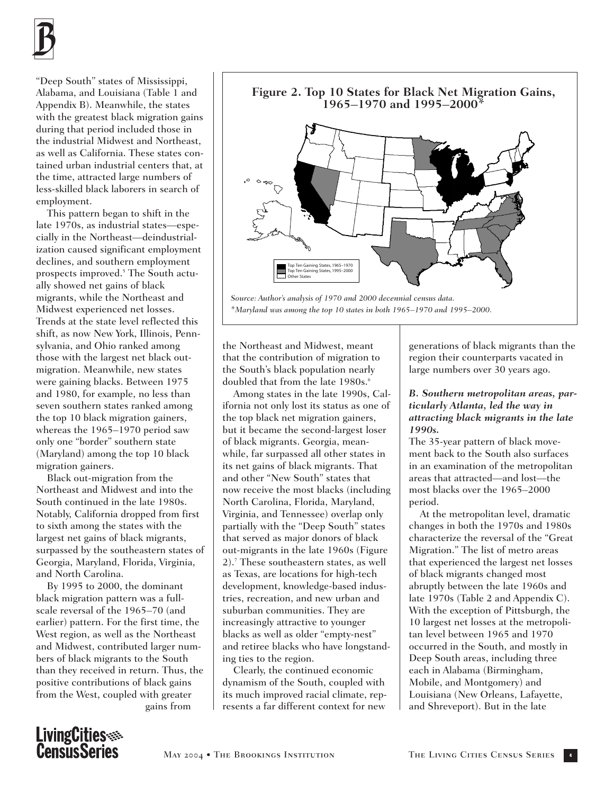

"Deep South" states of Mississippi, Alabama, and Louisiana (Table 1 and Appendix B). Meanwhile, the states with the greatest black migration gains during that period included those in the industrial Midwest and Northeast, as well as California. These states contained urban industrial centers that, at the time, attracted large numbers of less-skilled black laborers in search of employment.

This pattern began to shift in the late 1970s, as industrial states—especially in the Northeast—deindustrialization caused significant employment declines, and southern employment prospects improved.5 The South actually showed net gains of black migrants, while the Northeast and Midwest experienced net losses. Trends at the state level reflected this shift, as now New York, Illinois, Pennsylvania, and Ohio ranked among those with the largest net black outmigration. Meanwhile, new states were gaining blacks. Between 1975 and 1980, for example, no less than seven southern states ranked among the top 10 black migration gainers, whereas the 1965–1970 period saw only one "border" southern state (Maryland) among the top 10 black migration gainers.

Black out-migration from the Northeast and Midwest and into the South continued in the late 1980s. Notably, California dropped from first to sixth among the states with the largest net gains of black migrants, surpassed by the southeastern states of Georgia, Maryland, Florida, Virginia, and North Carolina.

By 1995 to 2000, the dominant black migration pattern was a fullscale reversal of the 1965–70 (and earlier) pattern. For the first time, the West region, as well as the Northeast and Midwest, contributed larger numbers of black migrants to the South than they received in return. Thus, the positive contributions of black gains from the West, coupled with greater gains from



the Northeast and Midwest, meant that the contribution of migration to the South's black population nearly doubled that from the late 1980s.<sup>6</sup>

Among states in the late 1990s, California not only lost its status as one of the top black net migration gainers, but it became the second-largest loser of black migrants. Georgia, meanwhile, far surpassed all other states in its net gains of black migrants. That and other "New South" states that now receive the most blacks (including North Carolina, Florida, Maryland, Virginia, and Tennessee) overlap only partially with the "Deep South" states that served as major donors of black out-migrants in the late 1960s (Figure 2).7 These southeastern states, as well as Texas, are locations for high-tech development, knowledge-based industries, recreation, and new urban and suburban communities. They are increasingly attractive to younger blacks as well as older "empty-nest" and retiree blacks who have longstanding ties to the region.

Clearly, the continued economic dynamism of the South, coupled with its much improved racial climate, represents a far different context for new

generations of black migrants than the region their counterparts vacated in large numbers over 30 years ago.

#### *B. Southern metropolitan areas, particularly Atlanta, led the way in attracting black migrants in the late 1990s.*

The 35-year pattern of black movement back to the South also surfaces in an examination of the metropolitan areas that attracted—and lost—the most blacks over the 1965–2000 period.

At the metropolitan level, dramatic changes in both the 1970s and 1980s characterize the reversal of the "Great Migration." The list of metro areas that experienced the largest net losses of black migrants changed most abruptly between the late 1960s and late 1970s (Table 2 and Appendix C). With the exception of Pittsburgh, the 10 largest net losses at the metropolitan level between 1965 and 1970 occurred in the South, and mostly in Deep South areas, including three each in Alabama (Birmingham, Mobile, and Montgomery) and Louisiana (New Orleans, Lafayette, and Shreveport). But in the late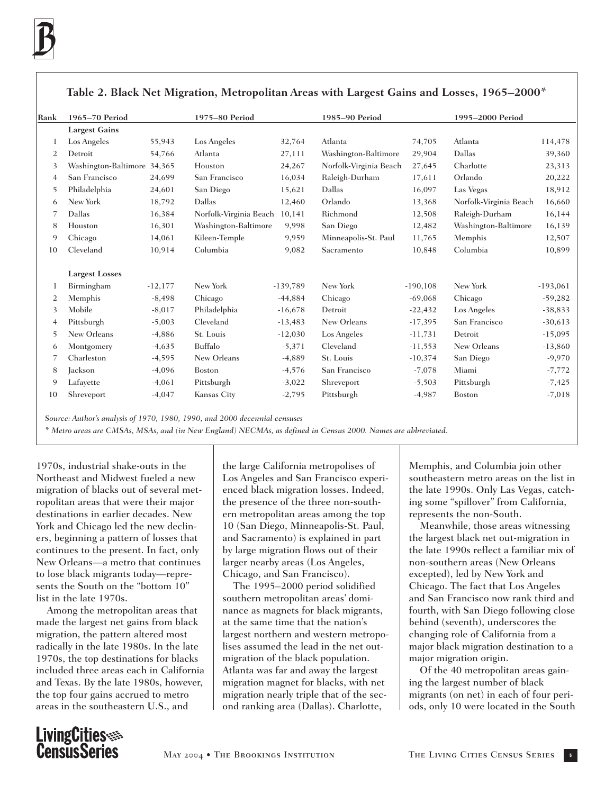| Rank           | 1965-70 Period<br>1975-80 Period |           |                        | 1985-90 Period |                        | 1995-2000 Period |                        |            |
|----------------|----------------------------------|-----------|------------------------|----------------|------------------------|------------------|------------------------|------------|
|                | <b>Largest Gains</b>             |           |                        |                |                        |                  |                        |            |
| 1              | Los Angeles                      | 55,943    | Los Angeles            | 32,764         | Atlanta                | 74,705           | Atlanta                | 114,478    |
| 2              | Detroit                          | 54,766    | Atlanta                | 27,111         | Washington-Baltimore   | 29,904           | Dallas                 | 39,360     |
| 3              | Washington-Baltimore 34,365      |           | Houston                | 24,267         | Norfolk-Virginia Beach | 27,645           | Charlotte              | 23,313     |
| 4              | San Francisco                    | 24,699    | San Francisco          | 16,034         | Raleigh-Durham         | 17,611           | Orlando                | 20,222     |
| 5              | Philadelphia                     | 24,601    | San Diego              | 15,621         | Dallas                 | 16,097           | Las Vegas              | 18,912     |
| 6              | New York                         | 18,792    | Dallas                 | 12,460         | Orlando                | 13,368           | Norfolk-Virginia Beach | 16,660     |
| 7              | Dallas                           | 16,384    | Norfolk-Virginia Beach | 10,141         | Richmond               | 12,508           | Raleigh-Durham         | 16,144     |
| 8              | Houston                          | 16,301    | Washington-Baltimore   | 9,998          | San Diego              | 12,482           | Washington-Baltimore   | 16,139     |
| 9              | Chicago                          | 14,061    | Kileen-Temple          | 9,959          | Minneapolis-St. Paul   | 11,765           | Memphis                | 12,507     |
| 10             | Cleveland                        | 10,914    | Columbia               | 9,082          | Sacramento             | 10,848           | Columbia               | 10,899     |
|                | <b>Largest Losses</b>            |           |                        |                |                        |                  |                        |            |
|                | Birmingham                       | $-12,177$ | New York               | $-139,789$     | New York               | $-190, 108$      | New York               | $-193,061$ |
| $\overline{2}$ | Memphis                          | $-8,498$  | Chicago                | $-44,884$      | Chicago                | $-69,068$        | Chicago                | $-59,282$  |
| 3              | Mobile                           | $-8,017$  | Philadelphia           | $-16,678$      | Detroit                | $-22,432$        | Los Angeles            | $-38,833$  |
| 4              | Pittsburgh                       | $-5,003$  | Cleveland              | $-13,483$      | New Orleans            | $-17,395$        | San Francisco          | $-30,613$  |
| 5              | New Orleans                      | $-4,886$  | St. Louis              | $-12,030$      | Los Angeles            | $-11,731$        | Detroit                | $-15,095$  |
| 6              | Montgomery                       | $-4,635$  | Buffalo                | $-5,371$       | Cleveland              | $-11,553$        | New Orleans            | $-13,860$  |
| 7              | Charleston                       | $-4,595$  | New Orleans            | $-4,889$       | St. Louis              | $-10,374$        | San Diego              | $-9,970$   |
| 8              | Jackson                          | $-4,096$  | Boston                 | $-4,576$       | San Francisco          | $-7,078$         | Miami                  | $-7,772$   |
| 9              | Lafayette                        | $-4,061$  | Pittsburgh             | $-3,022$       | Shreveport             | $-5,503$         | Pittsburgh             | $-7,425$   |
| 10             | Shreveport                       | $-4,047$  | Kansas City            | $-2,795$       | Pittsburgh             | $-4,987$         | Boston                 | $-7,018$   |
|                |                                  |           |                        |                |                        |                  |                        |            |

### **Table 2. Black Net Migration, Metropolitan Areas with Largest Gains and Losses, 1965–2000\***

*Source: Author's analysis of 1970, 1980, 1990, and 2000 decennial censuses*

*\* Metro areas are CMSAs, MSAs, and (in New England) NECMAs, as defined in Census 2000. Names are abbreviated.*

1970s, industrial shake-outs in the Northeast and Midwest fueled a new migration of blacks out of several metropolitan areas that were their major destinations in earlier decades. New York and Chicago led the new decliners, beginning a pattern of losses that continues to the present. In fact, only New Orleans—a metro that continues to lose black migrants today—represents the South on the "bottom 10" list in the late 1970s.

Among the metropolitan areas that made the largest net gains from black migration, the pattern altered most radically in the late 1980s. In the late 1970s, the top destinations for blacks included three areas each in California and Texas. By the late 1980s, however, the top four gains accrued to metro areas in the southeastern U.S., and

the large California metropolises of Los Angeles and San Francisco experienced black migration losses. Indeed, the presence of the three non-southern metropolitan areas among the top 10 (San Diego, Minneapolis-St. Paul, and Sacramento) is explained in part by large migration flows out of their larger nearby areas (Los Angeles, Chicago, and San Francisco).

The 1995–2000 period solidified southern metropolitan areas' dominance as magnets for black migrants, at the same time that the nation's largest northern and western metropolises assumed the lead in the net outmigration of the black population. Atlanta was far and away the largest migration magnet for blacks, with net migration nearly triple that of the second ranking area (Dallas). Charlotte,

Memphis, and Columbia join other southeastern metro areas on the list in the late 1990s. Only Las Vegas, catching some "spillover" from California, represents the non-South.

Meanwhile, those areas witnessing the largest black net out-migration in the late 1990s reflect a familiar mix of non-southern areas (New Orleans excepted), led by New York and Chicago. The fact that Los Angeles and San Francisco now rank third and fourth, with San Diego following close behind (seventh), underscores the changing role of California from a major black migration destination to a major migration origin.

Of the 40 metropolitan areas gaining the largest number of black migrants (on net) in each of four periods, only 10 were located in the South

# LivingCities<br>CensusSeries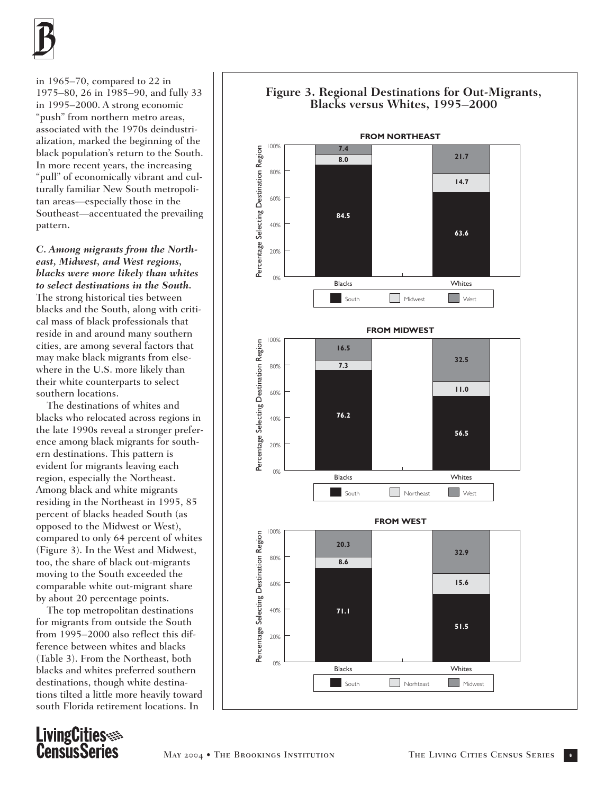

in 1965–70, compared to 22 in 1975–80, 26 in 1985–90, and fully 33 in 1995–2000. A strong economic "push" from northern metro areas, associated with the 1970s deindustrialization, marked the beginning of the black population's return to the South. In more recent years, the increasing "pull" of economically vibrant and culturally familiar New South metropolitan areas—especially those in the Southeast—accentuated the prevailing pattern.

*C. Among migrants from the Northeast, Midwest, and West regions, blacks were more likely than whites to select destinations in the South.*  The strong historical ties between blacks and the South, along with critical mass of black professionals that reside in and around many southern cities, are among several factors that may make black migrants from elsewhere in the U.S. more likely than their white counterparts to select southern locations.

The destinations of whites and blacks who relocated across regions in the late 1990s reveal a stronger preference among black migrants for southern destinations. This pattern is evident for migrants leaving each region, especially the Northeast. Among black and white migrants residing in the Northeast in 1995, 85 percent of blacks headed South (as opposed to the Midwest or West), compared to only 64 percent of whites (Figure 3). In the West and Midwest, too, the share of black out-migrants moving to the South exceeded the comparable white out-migrant share by about 20 percentage points.

The top metropolitan destinations for migrants from outside the South from 1995–2000 also reflect this difference between whites and blacks (Table 3). From the Northeast, both blacks and whites preferred southern destinations, though white destinations tilted a little more heavily toward south Florida retirement locations. In

LivingCities<br>CensusSeries

#### **Blacks versus Whites, 1995–2000 FROM NORTHEAST** 100% Percentage Selecting Destination Region **7.4** Percentage Selecting Destination Region **21.7 8.0** 80% **14.7** 60% **84.5** 40% **63.6** 20% 0% Blacks Whites South Midwest West **FROM MIDWEST** 100% Percentage Selecting Destination Region Percentage Selecting Destination Region **16.5 32.5 7.3** 80% **11.0** 60% **76.2** 40% **56.5** 20% 0% Blacks Whites South **Northeast** West **FROM WEST** 100% Percentage Selecting Destination Region Percentage Selecting Destination Region**20.3 32.9** 80% **8.6 15.6** 60% 40% **71.1 51.5** 20% 0% Blacks Whites South **Norhteast** Midwest

# **Figure 3. Regional Destinations for Out-Migrants,**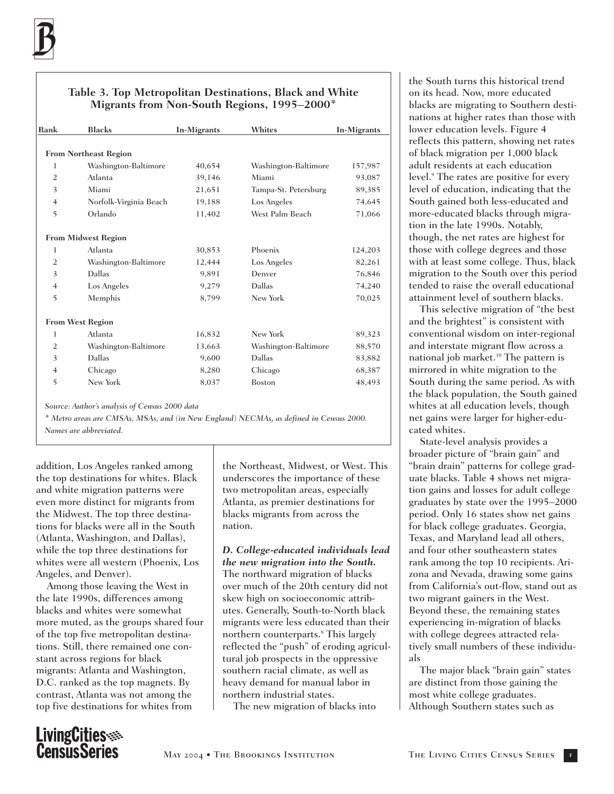### **Table 3. Top Metropolitan Destinations, Black and White Migrants from Non-South Regions, 1995–2000\***

| Rank           | <b>Blacks</b>                | In-Migrants | Whites               | In-Migrants |
|----------------|------------------------------|-------------|----------------------|-------------|
|                |                              |             |                      |             |
|                | <b>From Northeast Region</b> |             |                      |             |
| 1              | Washington-Baltimore         | 40,654      | Washington-Baltimore | 157,987     |
| $\overline{2}$ | Atlanta                      | 39,146      | Miami                | 93,087      |
| 3              | Miami                        | 21,651      | Tampa-St. Petersburg | 89,385      |
| $\overline{4}$ | Norfolk-Virginia Beach       | 19,188      | Los Angeles          | 74,645      |
| 5              | Orlando                      | 11,402      | West Palm Beach      | 71,066      |
|                | <b>From Midwest Region</b>   |             |                      |             |
| 1              | Atlanta                      | 30,853      | Phoenix              | 124,203     |
| $\overline{2}$ | Washington-Baltimore         | 12,444      | Los Angeles          | 82,261      |
| 3              | Dallas                       | 9,891       | Denver               | 76,846      |
| $\overline{4}$ | Los Angeles                  | 9,279       | Dallas               | 74,240      |
| 5              | Memphis                      | 8,799       | New York             | 70,025      |
|                | <b>From West Region</b>      |             |                      |             |
| 1              | Atlanta                      | 16,832      | New York             | 89,323      |
| $\overline{2}$ | Washington-Baltimore         | 13,663      | Washington-Baltimore | 88,570      |
| 3              | Dallas                       | 9,600       | Dallas               | 83,882      |
| $\overline{4}$ | Chicago                      | 8,280       | Chicago              | 68,387      |
| 5              | New York                     | 8,037       | <b>Boston</b>        | 48,493      |

*Source: Author's analysis of Census 2000 data*

*\* Metro areas are CMSAs, MSAs, and (in New England) NECMAs, as defined in Census 2000. Names are abbreviated.*

addition, Los Angeles ranked among the top destinations for whites. Black and white migration patterns were even more distinct for migrants from the Midwest. The top three destinations for blacks were all in the South (Atlanta, Washington, and Dallas), while the top three destinations for whites were all western (Phoenix, Los Angeles, and Denver).

Among those leaving the West in the late 1990s, differences among blacks and whites were somewhat more muted, as the groups shared four of the top five metropolitan destinations. Still, there remained one constant across regions for black migrants: Atlanta and Washington, D.C. ranked as the top magnets. By contrast, Atlanta was not among the top five destinations for whites from

the Northeast, Midwest, or West. This underscores the importance of these two metropolitan areas, especially Atlanta, as premier destinations for blacks migrants from across the nation.

*D. College-educated individuals lead the new migration into the South.* The northward migration of blacks over much of the 20th century did not skew high on socioeconomic attributes. Generally, South-to-North black migrants were less educated than their northern counterparts.<sup>8</sup> This largely reflected the "push" of eroding agricultural job prospects in the oppressive southern racial climate, as well as heavy demand for manual labor in northern industrial states.

The new migration of blacks into

the South turns this historical trend on its head. Now, more educated blacks are migrating to Southern destinations at higher rates than those with lower education levels. Figure 4 reflects this pattern, showing net rates of black migration per 1,000 black adult residents at each education level.<sup>9</sup> The rates are positive for every level of education, indicating that the South gained both less-educated and more-educated blacks through migration in the late 1990s. Notably, though, the net rates are highest for those with college degrees and those with at least some college. Thus, black migration to the South over this period tended to raise the overall educational attainment level of southern blacks.

This selective migration of "the best and the brightest" is consistent with conventional wisdom on inter-regional and interstate migrant flow across a national job market.<sup>10</sup> The pattern is mirrored in white migration to the South during the same period. As with the black population, the South gained whites at all education levels, though net gains were larger for higher-educated whites.

State-level analysis provides a broader picture of "brain gain" and "brain drain" patterns for college graduate blacks. Table 4 shows net migration gains and losses for adult college graduates by state over the 1995–2000 period. Only 16 states show net gains for black college graduates. Georgia, Texas, and Maryland lead all others, and four other southeastern states rank among the top 10 recipients. Arizona and Nevada, drawing some gains from California's out-flow, stand out as two migrant gainers in the West. Beyond these, the remaining states experiencing in-migration of blacks with college degrees attracted relatively small numbers of these individuals

The major black "brain gain" states are distinct from those gaining the most white college graduates. Although Southern states such as

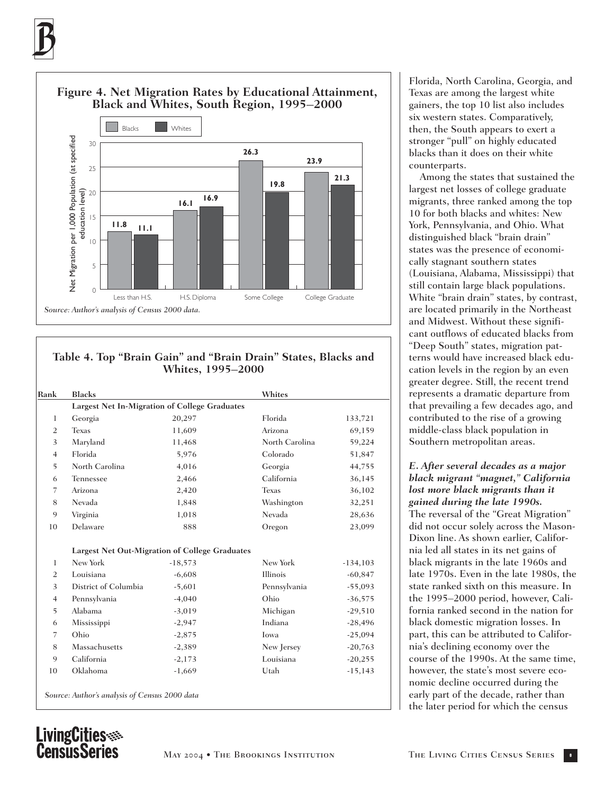

### **Table 4. Top "Brain Gain" and "Brain Drain" States, Blacks and Whites, 1995–2000**

| Rank           | <b>Blacks</b>                                         |           | Whites         |            |  |  |
|----------------|-------------------------------------------------------|-----------|----------------|------------|--|--|
|                | Largest Net In-Migration of College Graduates         |           |                |            |  |  |
| 1              | Georgia                                               | 20,297    | Florida        | 133,721    |  |  |
| $\overline{2}$ | <b>Texas</b>                                          | 11,609    | Arizona        | 69,159     |  |  |
| 3              | Maryland                                              | 11,468    | North Carolina | 59,224     |  |  |
| $\overline{4}$ | Florida                                               | 5,976     | Colorado       | 51,847     |  |  |
| 5              | North Carolina                                        | 4,016     | Georgia        | 44,755     |  |  |
| 6              | Tennessee                                             | 2,466     | California     | 36,145     |  |  |
| 7              | Arizona                                               | 2,420     | <b>Texas</b>   | 36,102     |  |  |
| 8              | Nevada                                                | 1,848     | Washington     | 32,251     |  |  |
| 9              | Virginia                                              | 1,018     | Nevada         | 28,636     |  |  |
| 10             | Delaware                                              | 888       | Oregon         | 23,099     |  |  |
|                | <b>Largest Net Out-Migration of College Graduates</b> |           |                |            |  |  |
| 1              | New York                                              | $-18,573$ | New York       | $-134,103$ |  |  |
| $\overline{2}$ | Louisiana                                             | $-6,608$  | Illinois       | $-60,847$  |  |  |
| 3              | District of Columbia                                  | $-5,601$  | Pennsylvania   | $-55,093$  |  |  |
| $\overline{4}$ | Pennsylvania                                          | $-4,040$  | Ohio           | $-36,575$  |  |  |
| 5              | Alabama                                               | $-3,019$  | Michigan       | $-29,510$  |  |  |
| 6              | Mississippi                                           | $-2,947$  | Indiana        | $-28,496$  |  |  |
| 7              | Ohio                                                  | $-2,875$  | Iowa           | $-25,094$  |  |  |
| 8              | Massachusetts                                         | $-2,389$  | New Jersey     | $-20,763$  |  |  |
| 9              | California                                            | $-2,173$  | Louisiana      | $-20,255$  |  |  |
|                | Oklahoma                                              | $-1,669$  | Utah           | $-15,143$  |  |  |

Florida, North Carolina, Georgia, and Texas are among the largest white gainers, the top 10 list also includes six western states. Comparatively, then, the South appears to exert a stronger "pull" on highly educated blacks than it does on their white counterparts.

Among the states that sustained the largest net losses of college graduate migrants, three ranked among the top 10 for both blacks and whites: New York, Pennsylvania, and Ohio. What distinguished black "brain drain" states was the presence of economically stagnant southern states (Louisiana, Alabama, Mississippi) that still contain large black populations. White "brain drain" states, by contrast, are located primarily in the Northeast and Midwest. Without these significant outflows of educated blacks from "Deep South" states, migration patterns would have increased black education levels in the region by an even greater degree. Still, the recent trend represents a dramatic departure from that prevailing a few decades ago, and contributed to the rise of a growing middle-class black population in Southern metropolitan areas.

*E. After several decades as a major black migrant "magnet," California lost more black migrants than it gained during the late 1990s.* The reversal of the "Great Migration" did not occur solely across the Mason-Dixon line. As shown earlier, California led all states in its net gains of black migrants in the late 1960s and late 1970s. Even in the late 1980s, the state ranked sixth on this measure. In the 1995–2000 period, however, California ranked second in the nation for black domestic migration losses. In part, this can be attributed to California's declining economy over the course of the 1990s. At the same time, however, the state's most severe economic decline occurred during the early part of the decade, rather than the later period for which the census

# LivingCities<br>CensusSeries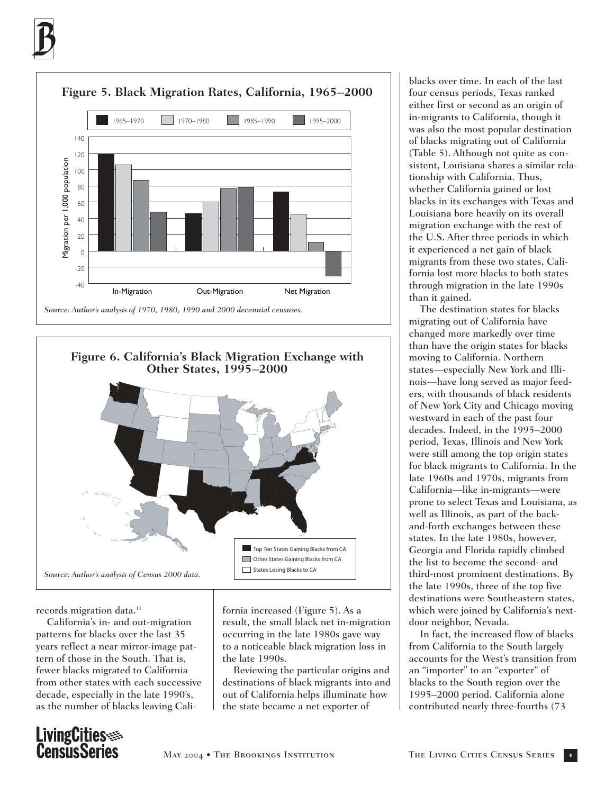



#### records migration data.<sup>11</sup>

California's in- and out-migration patterns for blacks over the last 35 years reflect a near mirror-image pattern of those in the South. That is, fewer blacks migrated to California from other states with each successive decade, especially in the late 1990's, as the number of blacks leaving California increased (Figure 5). As a result, the small black net in-migration occurring in the late 1980s gave way to a noticeable black migration loss in the late 1990s.

Reviewing the particular origins and destinations of black migrants into and out of California helps illuminate how the state became a net exporter of

blacks over time. In each of the last four census periods, Texas ranked either first or second as an origin of in-migrants to California, though it was also the most popular destination of blacks migrating out of California (Table 5). Although not quite as consistent, Louisiana shares a similar relationship with California. Thus, whether California gained or lost blacks in its exchanges with Texas and Louisiana bore heavily on its overall migration exchange with the rest of the U.S. After three periods in which it experienced a net gain of black migrants from these two states, California lost more blacks to both states through migration in the late 1990s than it gained.

The destination states for blacks migrating out of California have changed more markedly over time than have the origin states for blacks moving to California. Northern states—especially New York and Illinois—have long served as major feeders, with thousands of black residents of New York City and Chicago moving westward in each of the past four decades. Indeed, in the 1995–2000 period, Texas, Illinois and New York were still among the top origin states for black migrants to California. In the late 1960s and 1970s, migrants from California—like in-migrants—were prone to select Texas and Louisiana, as well as Illinois, as part of the backand-forth exchanges between these states. In the late 1980s, however, Georgia and Florida rapidly climbed the list to become the second- and third-most prominent destinations. By the late 1990s, three of the top five destinations were Southeastern states, which were joined by California's nextdoor neighbor, Nevada.

In fact, the increased flow of blacks from California to the South largely accounts for the West's transition from an "importer" to an "exporter" of blacks to the South region over the 1995–2000 period. California alone contributed nearly three-fourths (73

# LivingCities<br>CensusSeries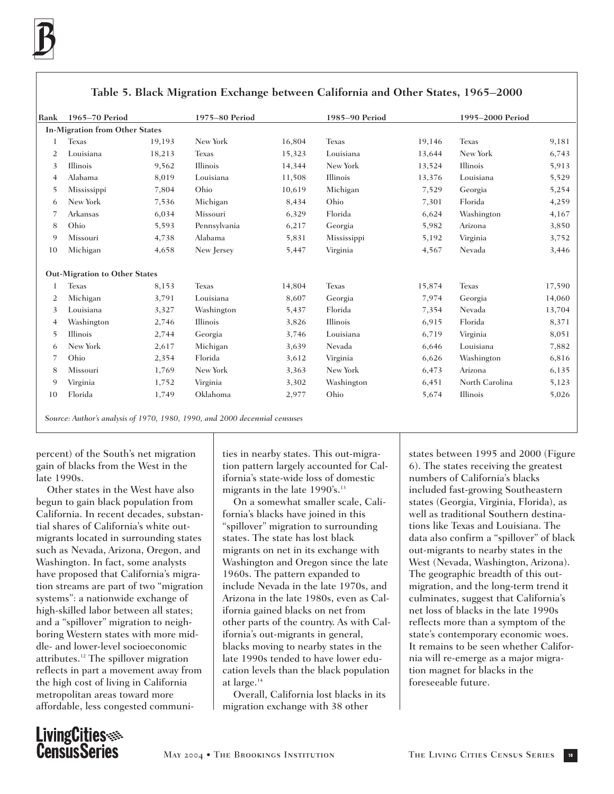| Rank | 1965-70 Period                        |        | 1975-80 Period |        | 1985-90 Period |        | 1995-2000 Period |        |
|------|---------------------------------------|--------|----------------|--------|----------------|--------|------------------|--------|
|      | <b>In-Migration from Other States</b> |        |                |        |                |        |                  |        |
|      | <b>Texas</b>                          | 19,193 | New York       | 16,804 | <b>Texas</b>   | 19,146 | <b>Texas</b>     | 9,181  |
| 2    | Louisiana                             | 18,213 | <b>Texas</b>   | 15,323 | Louisiana      | 13,644 | New York         | 6,743  |
|      | Illinois                              | 9,562  | Illinois       | 14,344 | New York       | 13,524 | Illinois         |        |
| 3    |                                       |        |                |        |                |        |                  | 5,913  |
| 4    | Alabama                               | 8,019  | Louisiana      | 11,508 | Illinois       | 13,376 | Louisiana        | 5,529  |
| 5    | Mississippi                           | 7,804  | Ohio           | 10,619 | Michigan       | 7,529  | Georgia          | 5,254  |
| 6    | New York                              | 7,536  | Michigan       | 8,434  | Ohio           | 7,301  | Florida          | 4,259  |
|      | Arkansas                              | 6,034  | Missouri       | 6,329  | Florida        | 6,624  | Washington       | 4,167  |
| 8    | Ohio                                  | 5,593  | Pennsylvania   | 6,217  | Georgia        | 5,982  | Arizona          | 3,850  |
| 9    | Missouri                              | 4,738  | Alabama        | 5,831  | Mississippi    | 5,192  | Virginia         | 3,752  |
| 10   | Michigan                              | 4,658  | New Jersey     | 5,447  | Virginia       | 4,567  | Nevada           | 3,446  |
|      | <b>Out-Migration to Other States</b>  |        |                |        |                |        |                  |        |
|      | <b>Texas</b>                          | 8,153  | <b>Texas</b>   | 14,804 | <b>Texas</b>   | 15,874 | <b>Texas</b>     | 17,590 |
| 2    | Michigan                              | 3,791  | Louisiana      | 8,607  | Georgia        | 7,974  | Georgia          | 14,060 |
| 3    | Louisiana                             | 3,327  | Washington     | 5,437  | Florida        | 7,354  | Nevada           | 13,704 |
| 4    | Washington                            | 2,746  | Illinois       | 3,826  | Illinois       | 6,915  | Florida          | 8,371  |
| 5    | Illinois                              | 2,744  | Georgia        | 3,746  | Louisiana      | 6,719  | Virginia         | 8,051  |
| 6    | New York                              | 2,617  | Michigan       | 3,639  | Nevada         | 6,646  | Louisiana        | 7,882  |
|      | Ohio                                  | 2,354  | Florida        | 3,612  | Virginia       | 6,626  | Washington       | 6,816  |
| 8    | Missouri                              | 1,769  | New York       | 3,363  | New York       | 6,473  | Arizona          | 6,135  |
| 9    | Virginia                              | 1,752  | Virginia       | 3,302  | Washington     | 6,451  | North Carolina   | 5,123  |
| 10   | Florida                               | 1,749  | Oklahoma       | 2,977  | Ohio           | 5,674  | Illinois         | 5,026  |

### **Table 5. Black Migration Exchange between California and Other States, 1965–2000**

*Source: Author's analysis of 1970, 1980, 1990, and 2000 decennial censuses*

percent) of the South's net migration gain of blacks from the West in the late 1990s.

Other states in the West have also begun to gain black population from California. In recent decades, substantial shares of California's white outmigrants located in surrounding states such as Nevada, Arizona, Oregon, and Washington. In fact, some analysts have proposed that California's migration streams are part of two "migration systems": a nationwide exchange of high-skilled labor between all states; and a "spillover" migration to neighboring Western states with more middle- and lower-level socioeconomic attributes.12 The spillover migration reflects in part a movement away from the high cost of living in California metropolitan areas toward more affordable, less congested communities in nearby states. This out-migration pattern largely accounted for California's state-wide loss of domestic migrants in the late 1990's.<sup>13</sup>

On a somewhat smaller scale, California's blacks have joined in this "spillover" migration to surrounding states. The state has lost black migrants on net in its exchange with Washington and Oregon since the late 1960s. The pattern expanded to include Nevada in the late 1970s, and Arizona in the late 1980s, even as California gained blacks on net from other parts of the country. As with California's out-migrants in general, blacks moving to nearby states in the late 1990s tended to have lower education levels than the black population at large.14

Overall, California lost blacks in its migration exchange with 38 other

states between 1995 and 2000 (Figure 6). The states receiving the greatest numbers of California's blacks included fast-growing Southeastern states (Georgia, Virginia, Florida), as well as traditional Southern destinations like Texas and Louisiana. The data also confirm a "spillover" of black out-migrants to nearby states in the West (Nevada, Washington, Arizona). The geographic breadth of this outmigration, and the long-term trend it culminates, suggest that California's net loss of blacks in the late 1990s reflects more than a symptom of the state's contemporary economic woes. It remains to be seen whether California will re-emerge as a major migration magnet for blacks in the foreseeable future.

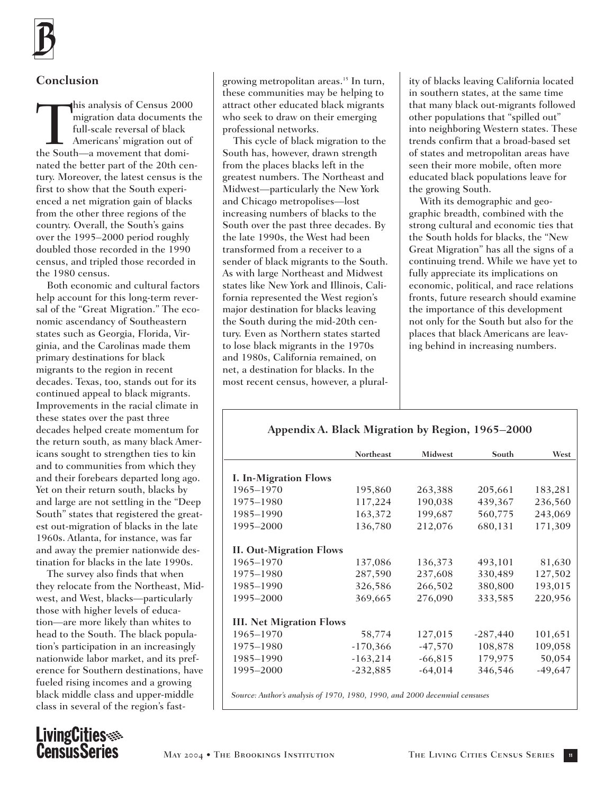

## **Conclusion**

This analysis of Census 2000<br>migration data documents the<br>full-scale reversal of black<br>Americans' migration out of<br>the South—a movement that domimigration data documents the full-scale reversal of black Americans' migration out of nated the better part of the 20th century. Moreover, the latest census is the first to show that the South experienced a net migration gain of blacks from the other three regions of the country. Overall, the South's gains over the 1995–2000 period roughly doubled those recorded in the 1990 census, and tripled those recorded in the 1980 census.

Both economic and cultural factors help account for this long-term reversal of the "Great Migration." The economic ascendancy of Southeastern states such as Georgia, Florida, Virginia, and the Carolinas made them primary destinations for black migrants to the region in recent decades. Texas, too, stands out for its continued appeal to black migrants. Improvements in the racial climate in these states over the past three decades helped create momentum for the return south, as many black Americans sought to strengthen ties to kin and to communities from which they and their forebears departed long ago. Yet on their return south, blacks by and large are not settling in the "Deep South" states that registered the greatest out-migration of blacks in the late 1960s. Atlanta, for instance, was far and away the premier nationwide destination for blacks in the late 1990s.

The survey also finds that when they relocate from the Northeast, Midwest, and West, blacks—particularly those with higher levels of education—are more likely than whites to head to the South. The black population's participation in an increasingly nationwide labor market, and its preference for Southern destinations, have fueled rising incomes and a growing black middle class and upper-middle class in several of the region's fast-

growing metropolitan areas.<sup>15</sup> In turn, these communities may be helping to attract other educated black migrants who seek to draw on their emerging professional networks.

This cycle of black migration to the South has, however, drawn strength from the places blacks left in the greatest numbers. The Northeast and Midwest—particularly the New York and Chicago metropolises—lost increasing numbers of blacks to the South over the past three decades. By the late 1990s, the West had been transformed from a receiver to a sender of black migrants to the South. As with large Northeast and Midwest states like New York and Illinois, California represented the West region's major destination for blacks leaving the South during the mid-20th century. Even as Northern states started to lose black migrants in the 1970s and 1980s, California remained, on net, a destination for blacks. In the most recent census, however, a plural-

ity of blacks leaving California located in southern states, at the same time that many black out-migrants followed other populations that "spilled out" into neighboring Western states. These trends confirm that a broad-based set of states and metropolitan areas have seen their more mobile, often more educated black populations leave for the growing South.

With its demographic and geographic breadth, combined with the strong cultural and economic ties that the South holds for blacks, the "New Great Migration" has all the signs of a continuing trend. While we have yet to fully appreciate its implications on economic, political, and race relations fronts, future research should examine the importance of this development not only for the South but also for the places that black Americans are leaving behind in increasing numbers.

## **Appendix A. Black Migration by Region, 1965–2000**

|                                 | <b>Northeast</b>                              | <b>Midwest</b> | South      | West      |
|---------------------------------|-----------------------------------------------|----------------|------------|-----------|
|                                 |                                               |                |            |           |
| <b>I. In-Migration Flows</b>    |                                               |                |            |           |
| 1965-1970                       | 195,860                                       | 263,388        | 205,661    | 183,281   |
| 1975-1980                       | 117,224                                       | 190,038        | 439,367    | 236,560   |
| 1985-1990                       | 163,372                                       | 199,687        | 560,775    | 243,069   |
| 1995-2000                       | 136,780                                       | 212,076        | 680,131    | 171,309   |
| <b>II. Out-Migration Flows</b>  |                                               |                |            |           |
| 1965-1970                       | 137,086                                       | 136,373        | 493,101    | 81,630    |
| 1975-1980                       | 287,590                                       | 237,608        | 330,489    | 127,502   |
| 1985-1990                       | 326,586                                       | 266,502        | 380,800    | 193,015   |
| 1995-2000                       | 369,665                                       | 276,090        | 333,585    | 220,956   |
| <b>III. Net Migration Flows</b> |                                               |                |            |           |
|                                 |                                               |                |            |           |
| 1965-1970                       | 58,774                                        | 127,015        | $-287,440$ | 101,651   |
| 1975–1980                       | $-170,366$                                    | $-47,570$      | 108,878    | 109,058   |
| 1985-1990                       | $-163,214$                                    | $-66,815$      | 179,975    | 50,054    |
| 1995-2000                       | $-232,885$                                    | $-64,014$      | 346,546    | $-49,647$ |
|                                 | $1.1 \quad 1.1$ $1.070$ 1000 1000 1000 1000 1 |                |            |           |

*Source: Author's analysis of 1970, 1980, 1990, and 2000 decennial censuses*

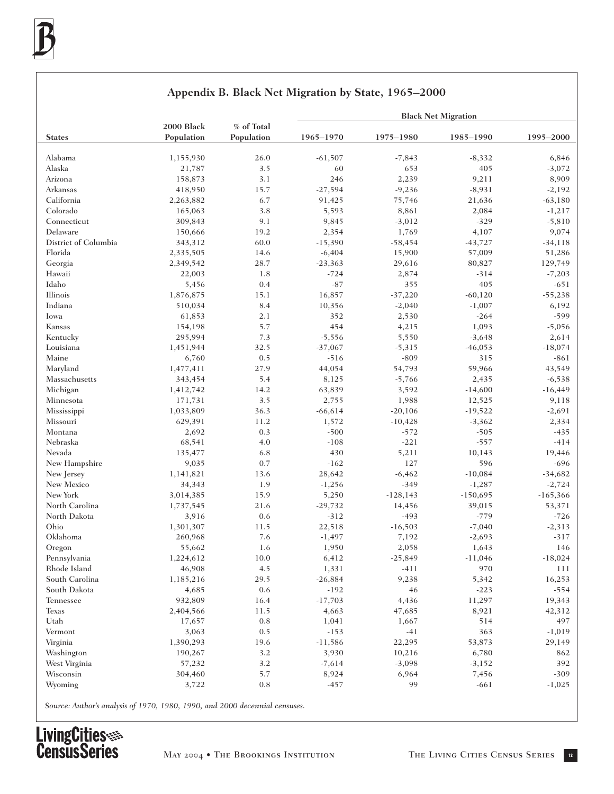|                      |                          |                          |            |             | <b>Black Net Migration</b> |            |
|----------------------|--------------------------|--------------------------|------------|-------------|----------------------------|------------|
| <b>States</b>        | 2000 Black<br>Population | % of Total<br>Population | 1965-1970  | 1975-1980   | 1985-1990                  | 1995-2000  |
|                      |                          |                          |            |             |                            |            |
| Alabama              | 1,155,930                | 26.0                     | $-61,507$  | $-7,843$    | $-8,332$                   | 6,846      |
| Alaska               | 21,787                   | 3.5                      | 60         | 653         | 405                        | $-3,072$   |
| Arizona              | 158,873                  | 3.1                      | 246        | 2,239       | 9,211                      | 8,909      |
| Arkansas             | 418,950                  | 15.7                     | $-27,594$  | $-9,236$    | $-8,931$                   | $-2,192$   |
| California           | 2,263,882                | 6.7                      | 91,425     | 75,746      | 21,636                     | $-63,180$  |
| Colorado             | 165,063                  | 3.8                      | 5,593      | 8,861       | 2,084                      | $-1,217$   |
| Connecticut          | 309,843                  | 9.1                      | 9,845      | $-3,012$    | $-329$                     | $-5,810$   |
| Delaware             | 150,666                  | 19.2                     | 2,354      | 1,769       | 4,107                      | 9,074      |
| District of Columbia | 343,312                  | 60.0                     | $-15,390$  | $-58,454$   | $-43,727$                  | $-34,118$  |
| Florida              | 2,335,505                | 14.6                     | $-6,404$   | 15,900      | 57,009                     | 51,286     |
| Georgia              | 2,349,542                | 28.7                     | $-23,363$  | 29,616      | 80,827                     | 129,749    |
| Hawaii               | 22,003                   | 1.8                      | $-724$     | 2,874       | $-314$                     | $-7,203$   |
| Idaho                | 5,456                    | 0.4                      | $-87$      | 355         | 405                        | $-651$     |
| Illinois             | 1,876,875                | 15.1                     | 16,857     | $-37,220$   | $-60,120$                  | $-55,238$  |
| Indiana              | 510,034                  | 8.4                      | 10,356     | $-2,040$    | $-1,007$                   | 6,192      |
| Iowa                 | 61,853                   | 2.1                      | 352        | 2,530       | $-264$                     | $-599$     |
| Kansas               | 154,198                  | 5.7                      | 454        | 4,215       | 1,093                      | $-5,056$   |
| Kentucky             | 295,994                  | 7.3                      | $-5,556$   | 5,550       | $-3,648$                   | 2,614      |
| Louisiana            | 1,451,944                | 32.5                     | $-37,067$  | $-5,315$    | $-46,053$                  | $-18,074$  |
| Maine                | 6,760                    | 0.5                      | $-516$     | $-809$      | 315                        | $-861$     |
| Maryland             | 1,477,411                | 27.9                     | 44,054     | 54,793      | 59,966                     | 43,549     |
| Massachusetts        | 343,454                  | 5.4                      | 8,125      | $-5,766$    | 2,435                      | $-6,538$   |
| Michigan             | 1,412,742                | 14.2                     | 63,839     | 3,592       | $-14,600$                  | $-16,449$  |
| Minnesota            | 171,731                  | 3.5                      | 2,755      | 1,988       | 12,525                     | 9,118      |
| Mississippi          | 1,033,809                | 36.3                     | $-66, 614$ | $-20,106$   | -19,522                    | $-2,691$   |
| Missouri             | 629,391                  | 11.2                     | 1,572      | $-10,428$   | $-3,362$                   | 2,334      |
| Montana              | 2,692                    | 0.3                      | $-500$     | $-572$      | $-505$                     | $-435$     |
| Nebraska             | 68,541                   | 4.0                      | $-108$     | $-221$      | $-557$                     | $-414$     |
| Nevada               | 135,477                  | 6.8                      | 430        | 5,211       | 10,143                     | 19,446     |
| New Hampshire        | 9,035                    | 0.7                      | $-162$     | 127         | 596                        | $-696$     |
| New Jersey           | 1,141,821                | 13.6                     | 28,642     | $-6,462$    | $-10,084$                  | $-34,682$  |
| New Mexico           | 34,343                   | 1.9                      | $-1,256$   | $-349$      | $-1,287$                   | $-2,724$   |
| New York             | 3,014,385                | 15.9                     | 5,250      | $-128, 143$ | $-150,695$                 | $-165,366$ |
| North Carolina       | 1,737,545                | 21.6                     | $-29,732$  | 14,456      | 39,015                     | 53,371     |
| North Dakota         | 3,916                    | 0.6                      | $-312$     | $-493$      | $-779$                     | $-726$     |
| Ohio                 | 1,301,307                | 11.5                     | 22,518     | $-16,503$   | $-7,040$                   | $-2,313$   |
| Oklahoma             | 260,968                  | 7.6                      | $-1,497$   | 7,192       | $-2,693$                   | $-317$     |
| Oregon               | 55,662                   | 1.6                      | 1,950      | 2,058       | 1,643                      | 146        |
| Pennsylvania         | 1,224,612                | 10.0                     | 6,412      | $-25,849$   | $-11,046$                  | $-18,024$  |
| Rhode Island         | 46,908                   | 4.5                      | 1,331      | $-411$      | 970                        | 111        |
| South Carolina       | 1,185,216                | 29.5                     | $-26,884$  | 9,238       | 5,342                      | 16,253     |
| South Dakota         | 4,685                    | 0.6                      | $-192$     | 46          | $-223$                     | $-554$     |
| Tennessee            | 932,809                  | 16.4                     | $-17,703$  | 4,436       |                            |            |
|                      | 2,404,566                |                          |            |             | 11,297                     | 19,343     |
| Texas                |                          | 11.5                     | 4,663      | 47,685      | 8,921                      | 42,312     |
| Utah                 | 17,657                   | 0.8                      | 1,041      | 1,667       | 514                        | 497        |
| Vermont              | 3,063                    | 0.5                      | $-153$     | $-41$       | 363                        | $-1,019$   |
| Virginia             | 1,390,293                | 19.6                     | $-11,586$  | 22,295      | 53,873                     | 29,149     |
| Washington           | 190,267                  | 3.2                      | 3,930      | 10,216      | 6,780                      | 862        |
| West Virginia        | 57,232                   | 3.2                      | $-7,614$   | $-3,098$    | $-3,152$                   | 392        |
| Wisconsin            | 304,460                  | 5.7                      | 8,924      | 6,964       | 7,456                      | $-309$     |
| Wyoming              | 3,722                    | 0.8                      | $-457$     | 99          | $-661$                     | $-1,025$   |

### **Appendix B. Black Net Migration by State, 1965–2000**

*Source: Author's analysis of 1970, 1980, 1990, and 2000 decennial censuses.*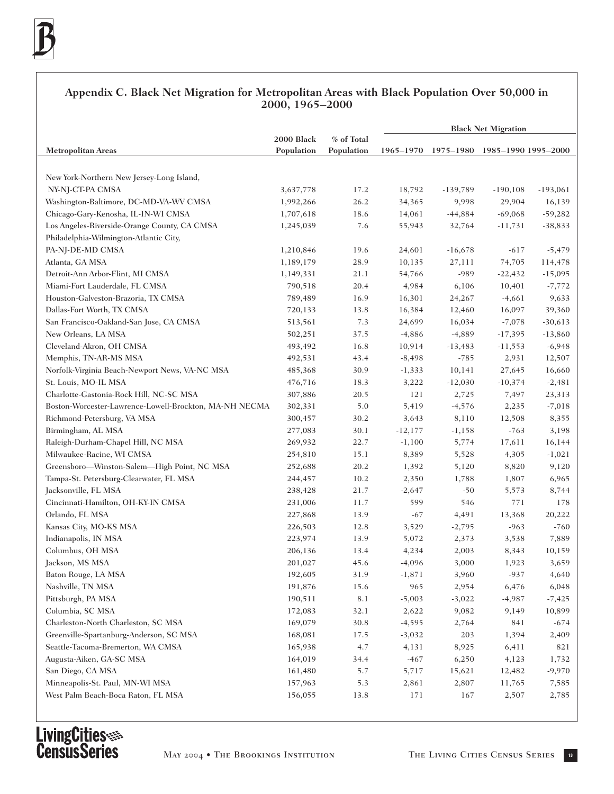### **Appendix C. Black Net Migration for Metropolitan Areas with Black Population Over 50,000 in 2000, 1965–2000**

|                                                        |            |            | <b>Black Net Migration</b> |                               |             |            |
|--------------------------------------------------------|------------|------------|----------------------------|-------------------------------|-------------|------------|
|                                                        | 2000 Black | % of Total |                            |                               |             |            |
| <b>Metropolitan Areas</b>                              | Population | Population | 1965–1970                  | 1975-1980 1985-1990 1995-2000 |             |            |
|                                                        |            |            |                            |                               |             |            |
| New York-Northern New Jersey-Long Island,              |            |            |                            |                               |             |            |
| NY-NJ-CT-PA CMSA                                       | 3,637,778  | 17.2       | 18,792                     | $-139,789$                    | $-190, 108$ | $-193,061$ |
| Washington-Baltimore, DC-MD-VA-WV CMSA                 | 1,992,266  | 26.2       | 34,365                     | 9,998                         | 29,904      | 16,139     |
| Chicago-Gary-Kenosha, IL-IN-WI CMSA                    | 1,707,618  | 18.6       | 14,061                     | $-44,884$                     | $-69,068$   | $-59,282$  |
| Los Angeles-Riverside-Orange County, CA CMSA           | 1,245,039  | 7.6        | 55,943                     | 32,764                        | $-11,731$   | $-38,833$  |
| Philadelphia-Wilmington-Atlantic City,                 |            |            |                            |                               |             |            |
| PA-NJ-DE-MD CMSA                                       | 1,210,846  | 19.6       | 24,601                     | $-16,678$                     | $-617$      | $-5,479$   |
| Atlanta, GA MSA                                        | 1,189,179  | 28.9       | 10,135                     | 27,111                        | 74,705      | 114,478    |
| Detroit-Ann Arbor-Flint, MI CMSA                       | 1,149,331  | 21.1       | 54,766                     | -989                          | $-22,432$   | $-15,095$  |
| Miami-Fort Lauderdale, FL CMSA                         | 790,518    | 20.4       | 4,984                      | 6,106                         | 10,401      | $-7,772$   |
| Houston-Galveston-Brazoria, TX CMSA                    | 789,489    | 16.9       | 16,301                     | 24,267                        | $-4,661$    | 9,633      |
| Dallas-Fort Worth, TX CMSA                             | 720,133    | 13.8       | 16,384                     | 12,460                        | 16,097      | 39,360     |
| San Francisco-Oakland-San Jose, CA CMSA                | 513,561    | 7.3        | 24,699                     | 16,034                        | $-7,078$    | $-30,613$  |
| New Orleans, LA MSA                                    | 502,251    | 37.5       | $-4,886$                   | $-4,889$                      | $-17,395$   | $-13,860$  |
| Cleveland-Akron, OH CMSA                               | 493,492    | 16.8       | 10,914                     | $-13,483$                     | $-11,553$   | $-6,948$   |
| Memphis, TN-AR-MS MSA                                  | 492,531    | 43.4       | $-8,498$                   | $-785$                        | 2,931       | 12,507     |
| Norfolk-Virginia Beach-Newport News, VA-NC MSA         | 485,368    | 30.9       | $-1,333$                   | 10,141                        | 27,645      | 16,660     |
| St. Louis, MO-IL MSA                                   | 476,716    | 18.3       | 3,222                      | $-12,030$                     | $-10,374$   | $-2,481$   |
| Charlotte-Gastonia-Rock Hill, NC-SC MSA                | 307,886    | 20.5       | 121                        | 2,725                         | 7,497       | 23,313     |
| Boston-Worcester-Lawrence-Lowell-Brockton, MA-NH NECMA | 302,331    | 5.0        | 5,419                      | $-4,576$                      | 2,235       | $-7,018$   |
| Richmond-Petersburg, VA MSA                            | 300,457    | 30.2       | 3,643                      | 8,110                         | 12,508      | 8,355      |
| Birmingham, AL MSA                                     | 277,083    | 30.1       | $-12,177$                  | $-1,158$                      | $-763$      | 3,198      |
| Raleigh-Durham-Chapel Hill, NC MSA                     | 269,932    | 22.7       | $-1,100$                   | 5,774                         | 17,611      | 16,144     |
| Milwaukee-Racine, WI CMSA                              | 254,810    | 15.1       | 8,389                      | 5,528                         | 4,305       | $-1,021$   |
| Greensboro-Winston-Salem-High Point, NC MSA            | 252,688    | 20.2       | 1,392                      | 5,120                         | 8,820       | 9,120      |
| Tampa-St. Petersburg-Clearwater, FL MSA                | 244,457    | 10.2       | 2,350                      | 1,788                         | 1,807       | 6,965      |
| Jacksonville, FL MSA                                   | 238,428    | 21.7       | $-2,647$                   | $-50$                         | 5,573       | 8,744      |
| Cincinnati-Hamilton, OH-KY-IN CMSA                     | 231,006    | 11.7       | 599                        | 546                           | $771\,$     | 178        |
| Orlando, FL MSA                                        | 227,868    | 13.9       | $-67$                      | 4,491                         | 13,368      | 20,222     |
| Kansas City, MO-KS MSA                                 | 226,503    | 12.8       | 3,529                      | $-2,795$                      | $-963$      | $-760$     |
| Indianapolis, IN MSA                                   | 223,974    | 13.9       | 5,072                      | 2,373                         | 3,538       | 7,889      |
| Columbus, OH MSA                                       | 206,136    | 13.4       | 4,234                      | 2,003                         | 8,343       | 10,159     |
| Jackson, MS MSA                                        | 201,027    | 45.6       | $-4,096$                   | 3,000                         | 1,923       | 3,659      |
| Baton Rouge, LA MSA                                    | 192,605    | 31.9       | $-1,871$                   | 3,960                         | $-937$      | 4,640      |
| Nashville, TN MSA                                      | 191,876    | 15.6       | 965                        | 2,954                         | 6,476       | 6,048      |
| Pittsburgh, PA MSA                                     | 190,511    | $8.1\,$    | $-5,003$                   | $-3,022$                      | $-4,987$    | $-7,425$   |
| Columbia, SC MSA                                       | 172,083    | 32.1       | 2,622                      | 9,082                         | 9,149       | 10,899     |
| Charleston-North Charleston, SC MSA                    | 169,079    | 30.8       | $-4,595$                   | 2,764                         | 841         | $-674$     |
| Greenville-Spartanburg-Anderson, SC MSA                | 168,081    | 17.5       | $-3,032$                   | 203                           | 1,394       | 2,409      |
| Seattle-Tacoma-Bremerton, WA CMSA                      | 165,938    | 4.7        | 4,131                      | 8,925                         | 6,411       | 821        |
| Augusta-Aiken, GA-SC MSA                               | 164,019    | 34.4       | $-467$                     | 6,250                         | 4,123       | 1,732      |
| San Diego, CA MSA                                      | 161,480    | 5.7        | 5,717                      | 15,621                        | 12,482      | $-9,970$   |
| Minneapolis-St. Paul, MN-WI MSA                        | 157,963    | 5.3        | 2,861                      | 2,807                         | 11,765      | 7,585      |
| West Palm Beach-Boca Raton, FL MSA                     | 156,055    | 13.8       | 171                        | 167                           | 2,507       | 2,785      |
|                                                        |            |            |                            |                               |             |            |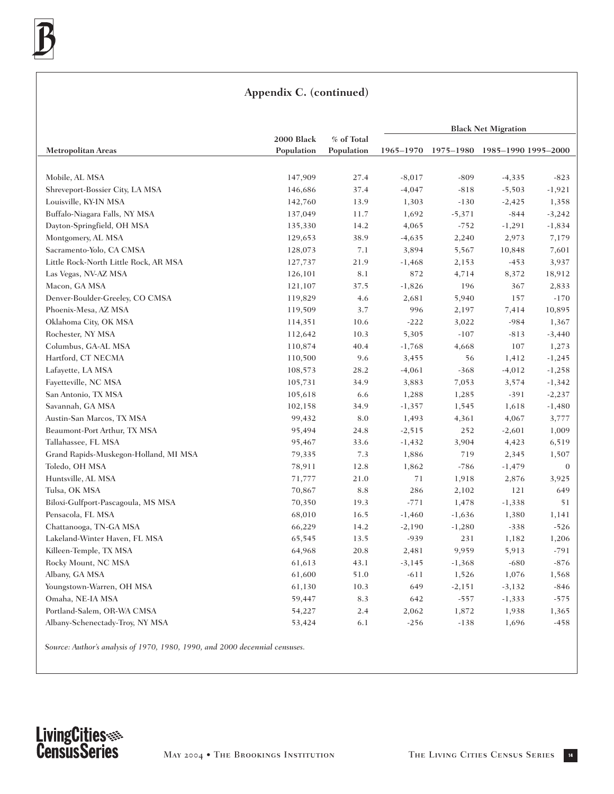## **Appendix C. (continued)**

|                                       |            |            | <b>Black Net Migration</b> |                               |          |              |
|---------------------------------------|------------|------------|----------------------------|-------------------------------|----------|--------------|
|                                       | 2000 Black | % of Total |                            |                               |          |              |
| <b>Metropolitan Areas</b>             | Population | Population | 1965–1970                  | 1975-1980 1985-1990 1995-2000 |          |              |
| Mobile, AL MSA                        | 147,909    | 27.4       | $-8,017$                   | $-809$                        | $-4,335$ | $-823$       |
| Shreveport-Bossier City, LA MSA       | 146,686    | 37.4       | $-4,047$                   | $-818$                        | $-5,503$ | $-1,921$     |
| Louisville, KY-IN MSA                 | 142,760    | 13.9       | 1,303                      | $-130$                        | $-2,425$ | 1,358        |
| Buffalo-Niagara Falls, NY MSA         | 137,049    | 11.7       | 1,692                      | $-5,371$                      | $-844$   | $-3,242$     |
| Dayton-Springfield, OH MSA            | 135,330    | 14.2       | 4,065                      | $-752$                        | $-1,291$ | $-1,834$     |
| Montgomery, AL MSA                    | 129,653    | 38.9       | $-4,635$                   | 2,240                         | 2,973    | 7,179        |
| Sacramento-Yolo, CA CMSA              | 128,073    | 7.1        | 3,894                      | 5,567                         | 10,848   | 7,601        |
| Little Rock-North Little Rock, AR MSA | 127,737    | 21.9       | $-1,468$                   | 2,153                         | $-453$   | 3,937        |
| Las Vegas, NV-AZ MSA                  | 126,101    | 8.1        | 872                        | 4,714                         | 8,372    | 18,912       |
| Macon, GA MSA                         | 121,107    | 37.5       | $-1,826$                   | 196                           | 367      | 2,833        |
| Denver-Boulder-Greeley, CO CMSA       | 119,829    | 4.6        | 2,681                      | 5,940                         | 157      | $-170$       |
| Phoenix-Mesa, AZ MSA                  | 119,509    | 3.7        | 996                        | 2,197                         | 7,414    | 10,895       |
| Oklahoma City, OK MSA                 | 114,351    | 10.6       | $-222$                     | 3,022                         | $-984$   | 1,367        |
| Rochester, NY MSA                     | 112,642    | 10.3       | 5,305                      | $-107$                        | $-813$   | $-3,440$     |
| Columbus, GA-AL MSA                   | 110,874    | 40.4       | $-1,768$                   | 4,668                         | 107      | 1,273        |
| Hartford, CT NECMA                    | 110,500    | 9.6        | 3,455                      | 56                            | 1,412    | $-1,245$     |
| Lafayette, LA MSA                     | 108,573    | 28.2       | $-4,061$                   | $-368$                        | $-4,012$ | $-1,258$     |
| Fayetteville, NC MSA                  | 105,731    | 34.9       | 3,883                      | 7,053                         | 3,574    | $-1,342$     |
| San Antonio, TX MSA                   | 105,618    | 6.6        | 1,288                      | 1,285                         | $-391$   | $-2,237$     |
| Savannah, GA MSA                      | 102,158    | 34.9       | $-1,357$                   | 1,545                         | 1,618    | $-1,480$     |
| Austin-San Marcos, TX MSA             | 99,432     | 8.0        | 1,493                      | 4,361                         | 4,067    | 3,777        |
| Beaumont-Port Arthur, TX MSA          | 95,494     | 24.8       | $-2,515$                   | 252                           | $-2,601$ | 1,009        |
| Tallahassee, FL MSA                   | 95,467     | 33.6       | $-1,432$                   | 3,904                         | 4,423    | 6,519        |
| Grand Rapids-Muskegon-Holland, MI MSA | 79,335     | 7.3        | 1,886                      | 719                           | 2,345    | 1,507        |
| Toledo, OH MSA                        | 78,911     | 12.8       | 1,862                      | $-786$                        | $-1,479$ | $\mathbf{0}$ |
| Huntsville, AL MSA                    | 71,777     | 21.0       | 71                         | 1,918                         | 2,876    | 3,925        |
| Tulsa, OK MSA                         | 70,867     | 8.8        | 286                        | 2,102                         | 121      | 649          |
| Biloxi-Gulfport-Pascagoula, MS MSA    | 70,350     | 19.3       | $-771$                     | 1,478                         | $-1,338$ | 51           |
| Pensacola, FL MSA                     | 68,010     | 16.5       | $-1,460$                   | $-1,636$                      | 1,380    | 1,141        |
| Chattanooga, TN-GA MSA                | 66,229     | 14.2       | $-2,190$                   | $-1,280$                      | $-338$   | $-526$       |
| Lakeland-Winter Haven, FL MSA         | 65,545     | 13.5       | $-939$                     | 231                           | 1,182    | 1,206        |
| Killeen-Temple, TX MSA                | 64,968     | 20.8       | 2,481                      | 9,959                         | 5,913    | $-791$       |
| Rocky Mount, NC MSA                   | 61,613     | 43.1       | $-3,145$                   | $-1,368$                      | $-680$   | $-876$       |
| Albany, GA MSA                        | 61,600     | 51.0       | $-611$                     | 1,526                         | 1,076    | 1,568        |
| Youngstown-Warren, OH MSA             | 61,130     | 10.3       | 649                        | $-2,151$                      | $-3,132$ | $-846$       |
| Omaha, NE-IA MSA                      | 59,447     | 8.3        | 642                        | $-557$                        | $-1,333$ | $-575$       |
| Portland-Salem, OR-WA CMSA            | 54,227     | 2.4        | 2,062                      | 1,872                         | 1,938    | 1,365        |
| Albany-Schenectady-Troy, NY MSA       | 53,424     | 6.1        | $-256$                     | $-138$                        | 1,696    | $-458$       |

*Source: Author's analysis of 1970, 1980, 1990, and 2000 decennial censuses.*

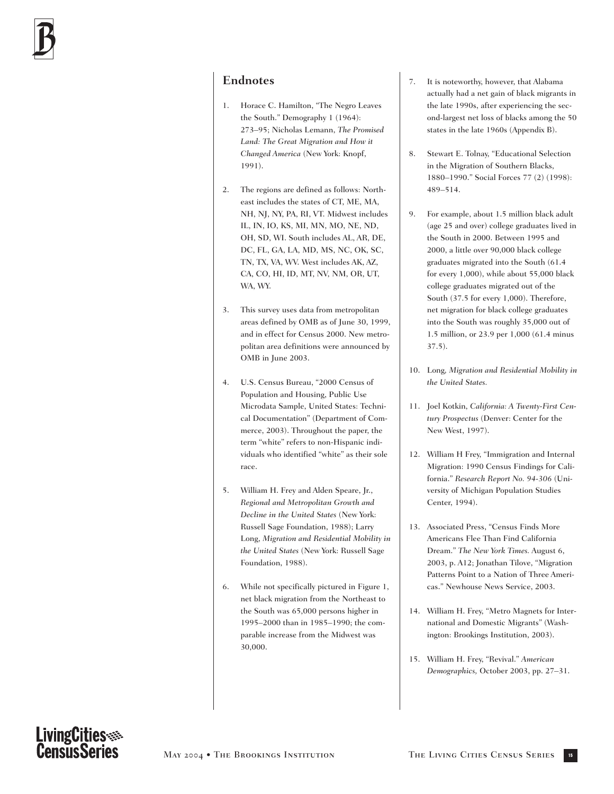### **Endnotes**

- 1. Horace C. Hamilton, "The Negro Leaves the South." Demography 1 (1964): 273–95; Nicholas Lemann, *The Promised Land: The Great Migration and How it Changed America* (New York: Knopf, 1991).
- 2. The regions are defined as follows: Northeast includes the states of CT, ME, MA, NH, NJ, NY, PA, RI, VT. Midwest includes IL, IN, IO, KS, MI, MN, MO, NE, ND, OH, SD, WI. South includes AL, AR, DE, DC, FL, GA, LA, MD, MS, NC, OK, SC, TN, TX, VA, WV. West includes AK, AZ, CA, CO, HI, ID, MT, NV, NM, OR, UT, WA, WY.
- 3. This survey uses data from metropolitan areas defined by OMB as of June 30, 1999, and in effect for Census 2000. New metropolitan area definitions were announced by OMB in June 2003.
- 4. U.S. Census Bureau, "2000 Census of Population and Housing, Public Use Microdata Sample, United States: Technical Documentation" (Department of Commerce, 2003). Throughout the paper, the term "white" refers to non-Hispanic individuals who identified "white" as their sole race.
- 5. William H. Frey and Alden Speare, Jr., *Regional and Metropolitan Growth and Decline in the United States* (New York: Russell Sage Foundation, 1988); Larry Long, *Migration and Residential Mobility in the United States* (New York: Russell Sage Foundation, 1988).
- 6. While not specifically pictured in Figure 1, net black migration from the Northeast to the South was 65,000 persons higher in 1995–2000 than in 1985–1990; the comparable increase from the Midwest was 30,000.
- 7. It is noteworthy, however, that Alabama actually had a net gain of black migrants in the late 1990s, after experiencing the second-largest net loss of blacks among the 50 states in the late 1960s (Appendix B).
- 8. Stewart E. Tolnay, "Educational Selection in the Migration of Southern Blacks, 1880–1990." Social Forces 77 (2) (1998): 489–514.
- 9. For example, about 1.5 million black adult (age 25 and over) college graduates lived in the South in 2000. Between 1995 and 2000, a little over 90,000 black college graduates migrated into the South (61.4 for every 1,000), while about 55,000 black college graduates migrated out of the South (37.5 for every 1,000). Therefore, net migration for black college graduates into the South was roughly 35,000 out of 1.5 million, or 23.9 per 1,000 (61.4 minus 37.5).
- 10. Long*, Migration and Residential Mobility in the United States.*
- 11. Joel Kotkin, *California: A Twenty-First Century Prospectus* (Denver: Center for the New West, 1997).
- 12. William H Frey, "Immigration and Internal Migration: 1990 Census Findings for California." *Research Report No. 94-306* (University of Michigan Population Studies Center, 1994).
- 13. Associated Press, "Census Finds More Americans Flee Than Find California Dream." *The New York Times.* August 6, 2003, p. A12; Jonathan Tilove, "Migration Patterns Point to a Nation of Three Americas." Newhouse News Service, 2003.
- 14. William H. Frey, "Metro Magnets for International and Domestic Migrants" (Washington: Brookings Institution, 2003).
- 15. William H. Frey, "Revival." *American Demographics,* October 2003, pp. 27–31.

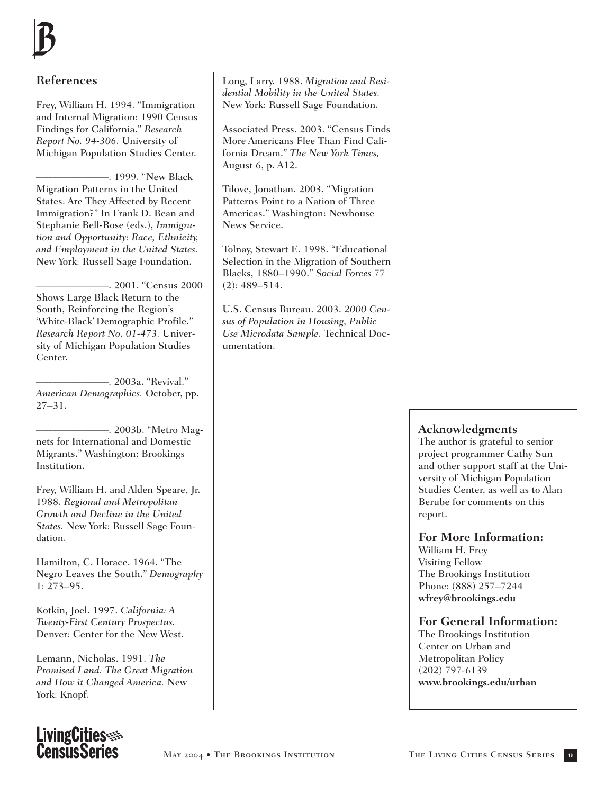

### **References**

Frey, William H. 1994. "Immigration and Internal Migration: 1990 Census Findings for California." *Research Report No. 94-306.* University of Michigan Population Studies Center.

–––––––––––––. 1999. "New Black Migration Patterns in the United States: Are They Affected by Recent Immigration?" In Frank D. Bean and Stephanie Bell-Rose (eds.), *Immigration and Opportunity: Race, Ethnicity, and Employment in the United States.* New York: Russell Sage Foundation.

–––––––––––––. 2001. "Census 2000 Shows Large Black Return to the South, Reinforcing the Region's 'White-Black' Demographic Profile." *Research Report No. 01-473.* University of Michigan Population Studies Center.

–––––––––––––. 2003a. "Revival." *American Demographics.* October, pp. 27–31.

–––––––––––––. 2003b. "Metro Magnets for International and Domestic Migrants." Washington: Brookings Institution.

Frey, William H. and Alden Speare, Jr. 1988. *Regional and Metropolitan Growth and Decline in the United States.* New York: Russell Sage Foundation.

Hamilton, C. Horace. 1964. "The Negro Leaves the South." *Demography* 1: 273–95.

Kotkin, Joel. 1997. *California: A Twenty-First Century Prospectus.*  Denver: Center for the New West.

Lemann, Nicholas. 1991. *The Promised Land: The Great Migration and How it Changed America.* New York: Knopf.

Long, Larry. 1988. *Migration and Residential Mobility in the United States.* New York: Russell Sage Foundation.

Associated Press. 2003. "Census Finds More Americans Flee Than Find California Dream." *The New York Times,* August 6, p. A12.

Tilove, Jonathan. 2003. "Migration Patterns Point to a Nation of Three Americas." Washington: Newhouse News Service.

Tolnay, Stewart E. 1998. "Educational Selection in the Migration of Southern Blacks, 1880–1990." *Social Forces* 77 (2): 489–514.

U.S. Census Bureau. 2003. *2000 Census of Population in Housing, Public Use Microdata Sample.* Technical Documentation.

### **Acknowledgments**

The author is grateful to senior project programmer Cathy Sun and other support staff at the University of Michigan Population Studies Center, as well as to Alan Berube for comments on this report.

#### **For More Information:**

William H. Frey Visiting Fellow The Brookings Institution Phone: (888) 257–7244 **wfrey@brookings.edu**

#### **For General Information:**

The Brookings Institution Center on Urban and Metropolitan Policy (202) 797-6139 **www.brookings.edu/urban**